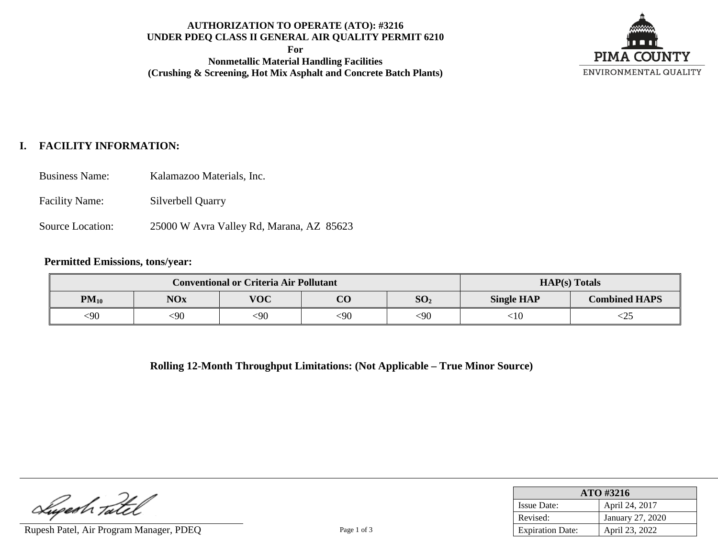# **AUTHORIZATION TO OPERATE (ATO): #3216 UNDER PDEQ CLASS II GENERAL AIR QUALITY PERMIT 6210**

**For**

**Nonmetallic Material Handling Facilities (Crushing & Screening, Hot Mix Asphalt and Concrete Batch Plants)**



# **I. FACILITY INFORMATION:**

- Business Name: Kalamazoo Materials, Inc.
- Facility Name: Silverbell Quarry
- Source Location: 25000 W Avra Valley Rd, Marana, AZ 85623

#### **Permitted Emissions, tons/year:**

|           |            | <b>Conventional or Criteria Air Pollutant</b> |           | <b>HAP(s)</b> Totals |                   |                      |
|-----------|------------|-----------------------------------------------|-----------|----------------------|-------------------|----------------------|
| $PM_{10}$ | <b>NOx</b> | <b>VOC</b>                                    | <u>ሮስ</u> | SO <sub>2</sub>      | <b>Single HAP</b> | <b>Combined HAPS</b> |
| <90       | 590        | $<$ 90                                        | <90       | $<$ 90               | :10               | ヽムJ                  |

**Rolling 12-Month Throughput Limitations: (Not Applicable – True Minor Source)**

Lugesh Tatel

Rupesh Patel, Air Program Manager, PDEQ Page 1 of 3

| ATO #3216               |                  |  |  |  |
|-------------------------|------------------|--|--|--|
| <b>Issue Date:</b>      | April 24, 2017   |  |  |  |
| Revised:                | January 27, 2020 |  |  |  |
| <b>Expiration Date:</b> | April 23, 2022   |  |  |  |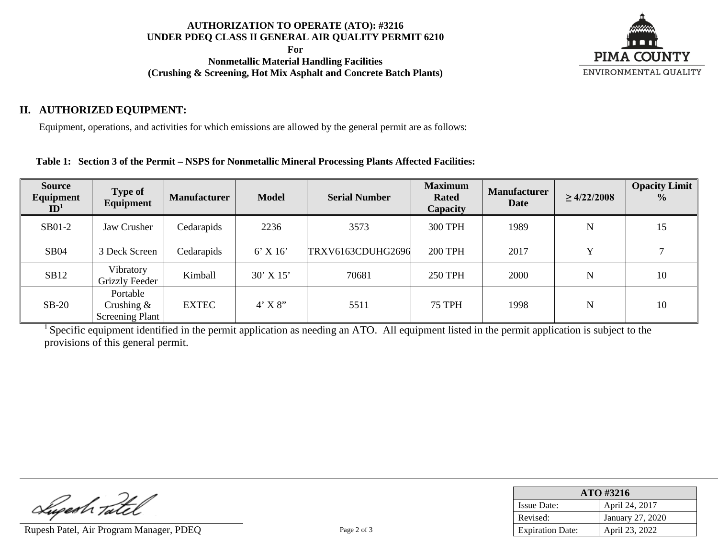### **AUTHORIZATION TO OPERATE (ATO): #3216 UNDER PDEQ CLASS II GENERAL AIR QUALITY PERMIT 6210**

**For**

**Nonmetallic Material Handling Facilities (Crushing & Screening, Hot Mix Asphalt and Concrete Batch Plants)**



# **II. AUTHORIZED EQUIPMENT:**

Equipment, operations, and activities for which emissions are allowed by the general permit are as follows:

### **Table 1: Section 3 of the Permit – NSPS for Nonmetallic Mineral Processing Plants Affected Facilities:**

| <b>Source</b><br>Equipment<br>ID <sup>1</sup> | <b>Type of</b><br>Equipment                         | <b>Manufacturer</b> | <b>Model</b>  | <b>Serial Number</b> | <b>Maximum</b><br><b>Rated</b><br>Capacity | <b>Manufacturer</b><br><b>Date</b> | $\geq 4/22/2008$ | <b>Opacity Limit</b><br>$\frac{0}{0}$ |
|-----------------------------------------------|-----------------------------------------------------|---------------------|---------------|----------------------|--------------------------------------------|------------------------------------|------------------|---------------------------------------|
| SB01-2                                        | Jaw Crusher                                         | Cedarapids          | 2236          | 3573                 | <b>300 TPH</b>                             | 1989                               | $\mathbf N$      | 15                                    |
| <b>SB04</b>                                   | 3 Deck Screen                                       | Cedarapids          | $6'$ X 16'    | TRXV6163CDUHG2696    | <b>200 TPH</b>                             | 2017                               | $\mathbf{v}$     |                                       |
| SB12                                          | Vibratory<br>Grizzly Feeder                         | Kimball             | $30'$ X $15'$ | 70681                | <b>250 TPH</b>                             | 2000                               | $\mathbf N$      | 10                                    |
| $SB-20$                                       | Portable<br>Crushing $\&$<br><b>Screening Plant</b> | <b>EXTEC</b>        | $4'$ X $8''$  | 5511                 | <b>75 TPH</b>                              | 1998                               | $\mathbf N$      | 10                                    |

<sup>1</sup> Specific equipment identified in the permit application as needing an ATO. All equipment listed in the permit application is subject to the provisions of this general permit.

Lupeah Tatel

Rupesh Patel, Air Program Manager, PDEQ Page 2 of 3

| ATO #3216               |                  |  |  |  |
|-------------------------|------------------|--|--|--|
| <b>Issue Date:</b>      | April 24, 2017   |  |  |  |
| Revised:                | January 27, 2020 |  |  |  |
| <b>Expiration Date:</b> | April 23, 2022   |  |  |  |